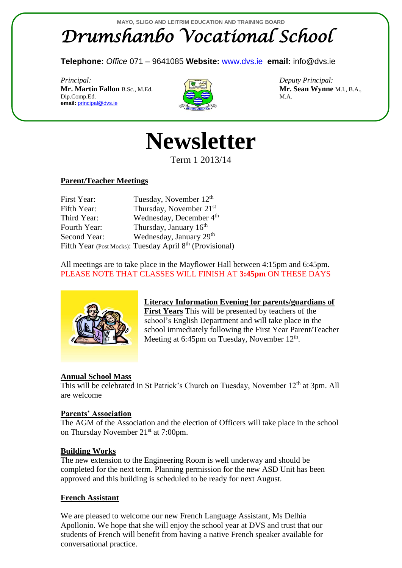# **MAYO, SLIGO AND LEITRIM EDUCATION AND TRAINING BOARD** *Drumshanbo Vocational School*

**Telephone:** *Office* 071 – 9641085 **Website:** [www.dvs.ie](http://www.dvs.ie/) **email:** info@dvs.ie

*Principal: Deputy Principal:* **Mr. Martin Fallon B.Sc., M.Ed. <b>Mr. Sean Wynne M.I., B.A.**,  $\overline{Dip}$ . Comp. Ed.  $\overline{Dip}$  M.A. **email:** [principal@dvs.ie](mailto:principal@dvs.ie)





Term 1 2013/14

## **Parent/Teacher Meetings**

| First Year:  | Tuesday, November $12th$                                 |
|--------------|----------------------------------------------------------|
| Fifth Year:  | Thursday, November 21 <sup>st</sup>                      |
| Third Year:  | Wednesday, December 4 <sup>th</sup>                      |
| Fourth Year: | Thursday, January $16th$                                 |
| Second Year: | Wednesday, January 29 <sup>th</sup>                      |
|              | Fifth Year (Post Mocks): Tuesday April 8th (Provisional) |

All meetings are to take place in the Mayflower Hall between 4:15pm and 6:45pm. PLEASE NOTE THAT CLASSES WILL FINISH AT **3:45pm** ON THESE DAYS



**Literacy Information Evening for parents/guardians of First Years** This will be presented by teachers of the school's English Department and will take place in the school immediately following the First Year Parent/Teacher Meeting at 6:45pm on Tuesday, November 12<sup>th</sup>.

## **Annual School Mass**

This will be celebrated in St Patrick's Church on Tuesday, November 12<sup>th</sup> at 3pm. All are welcome

#### **Parents' Association**

The AGM of the Association and the election of Officers will take place in the school on Thursday November 21<sup>st</sup> at 7:00pm.

#### **Building Works**

The new extension to the Engineering Room is well underway and should be completed for the next term. Planning permission for the new ASD Unit has been approved and this building is scheduled to be ready for next August.

## **French Assistant**

We are pleased to welcome our new French Language Assistant, Ms Delhia Apollonio. We hope that she will enjoy the school year at DVS and trust that our students of French will benefit from having a native French speaker available for conversational practice.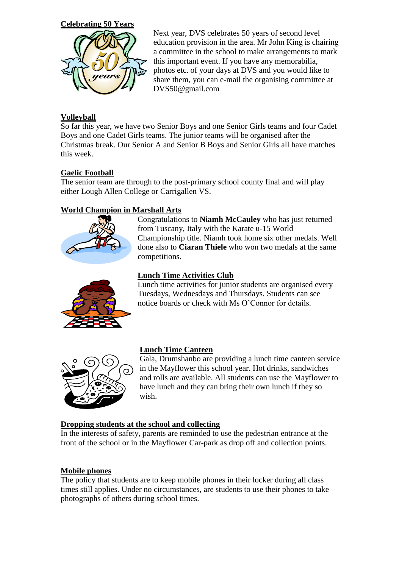**Celebrating 50 Years**



Next year, DVS celebrates 50 years of second level education provision in the area. Mr John King is chairing a committee in the school to make arrangements to mark this important event. If you have any memorabilia, photos etc. of your days at DVS and you would like to share them, you can e-mail the organising committee at DVS50@gmail.com

# **Volleyball**

So far this year, we have two Senior Boys and one Senior Girls teams and four Cadet Boys and one Cadet Girls teams. The junior teams will be organised after the Christmas break. Our Senior A and Senior B Boys and Senior Girls all have matches this week.

## **Gaelic Football**

The senior team are through to the post-primary school county final and will play either Lough Allen College or Carrigallen VS.

## **World Champion in Marshall Arts**



Congratulations to **Niamh McCauley** who has just returned from Tuscany, Italy with the Karate u-15 World Championship title. Niamh took home six other medals. Well done also to **Ciaran Thiele** who won two medals at the same competitions.



#### **Lunch Time Activities Club**

Lunch time activities for junior students are organised every Tuesdays, Wednesdays and Thursdays. Students can see notice boards or check with Ms O'Connor for details.



#### **Lunch Time Canteen**

Gala, Drumshanbo are providing a lunch time canteen service in the Mayflower this school year. Hot drinks, sandwiches and rolls are available. All students can use the Mayflower to have lunch and they can bring their own lunch if they so wish.

#### **Dropping students at the school and collecting**

In the interests of safety, parents are reminded to use the pedestrian entrance at the front of the school or in the Mayflower Car-park as drop off and collection points.

#### **Mobile phones**

The policy that students are to keep mobile phones in their locker during all class times still applies. Under no circumstances, are students to use their phones to take photographs of others during school times.